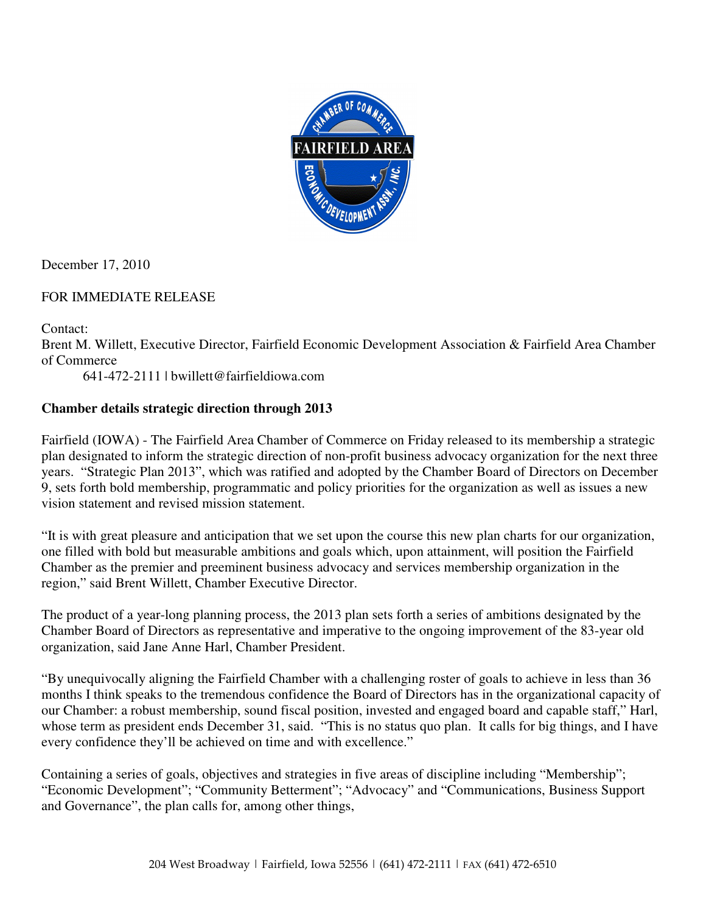

December 17, 2010

## FOR IMMEDIATE RELEASE

Contact: Brent M. Willett, Executive Director, Fairfield Economic Development Association & Fairfield Area Chamber of Commerce

641-472-2111 | bwillett@fairfieldiowa.com

## **Chamber details strategic direction through 2013**

Fairfield (IOWA) - The Fairfield Area Chamber of Commerce on Friday released to its membership a strategic plan designated to inform the strategic direction of non-profit business advocacy organization for the next three years. "Strategic Plan 2013", which was ratified and adopted by the Chamber Board of Directors on December 9, sets forth bold membership, programmatic and policy priorities for the organization as well as issues a new vision statement and revised mission statement.

"It is with great pleasure and anticipation that we set upon the course this new plan charts for our organization, one filled with bold but measurable ambitions and goals which, upon attainment, will position the Fairfield Chamber as the premier and preeminent business advocacy and services membership organization in the region," said Brent Willett, Chamber Executive Director.

The product of a year-long planning process, the 2013 plan sets forth a series of ambitions designated by the Chamber Board of Directors as representative and imperative to the ongoing improvement of the 83-year old organization, said Jane Anne Harl, Chamber President.

"By unequivocally aligning the Fairfield Chamber with a challenging roster of goals to achieve in less than 36 months I think speaks to the tremendous confidence the Board of Directors has in the organizational capacity of our Chamber: a robust membership, sound fiscal position, invested and engaged board and capable staff," Harl, whose term as president ends December 31, said. "This is no status quo plan. It calls for big things, and I have every confidence they'll be achieved on time and with excellence."

Containing a series of goals, objectives and strategies in five areas of discipline including "Membership"; "Economic Development"; "Community Betterment"; "Advocacy" and "Communications, Business Support and Governance", the plan calls for, among other things,